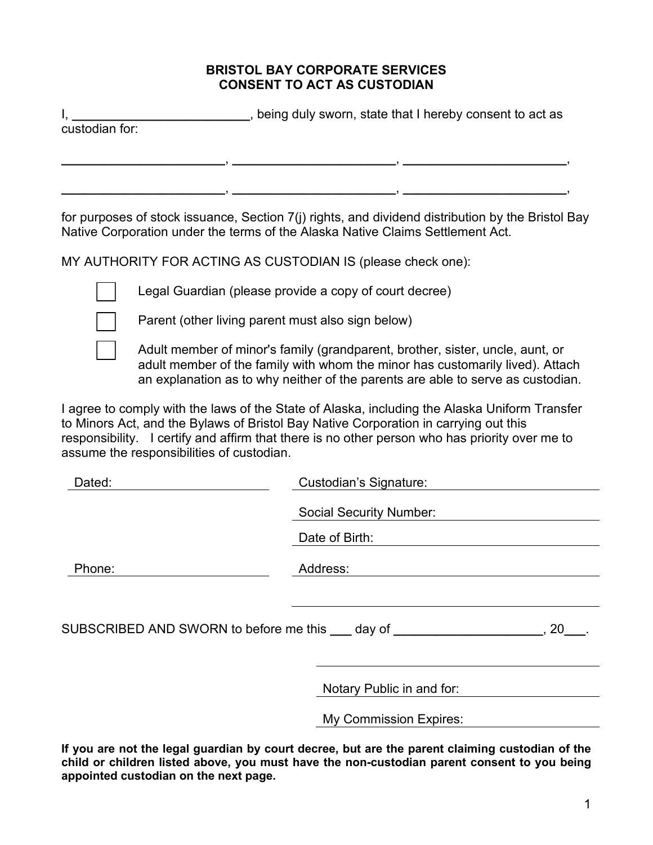## **BRISTOL BAY CORPORATE SERVICES CONSENT TO ACT AS CUSTODIAN**

I, **I** and the induced that I hereby consent to act as

**\_\_\_\_\_\_\_\_\_\_\_\_\_\_\_\_\_\_\_\_\_\_\_**, **\_\_\_\_\_\_\_\_\_\_\_\_\_\_\_\_\_\_\_\_\_\_\_**, **\_\_\_\_\_\_\_\_\_\_\_\_\_\_\_\_\_\_\_\_\_\_\_**,

custodian for:

for purposes of stock issuance, Section 7(j) rights, and dividend distribution by the Bristol Bay Native Corporation under the terms of the Alaska Native Claims Settlement Act.

MY AUTHORITY FOR ACTING AS CUSTODIAN IS (please check one):



Legal Guardian (please provide a copy of court decree)



 Adult member of minor's family (grandparent, brother, sister, uncle, aunt, or adult member of the family with whom the minor has customarily lived). Attach an explanation as to why neither of the parents are able to serve as custodian.

**\_\_\_\_\_\_\_\_\_\_\_\_\_\_\_\_\_\_\_\_\_\_\_**, **\_\_\_\_\_\_\_\_\_\_\_\_\_\_\_\_\_\_\_\_\_\_\_**, **\_\_\_\_\_\_\_\_\_\_\_\_\_\_\_\_\_\_\_\_\_\_\_**,

I agree to comply with the laws of the State of Alaska, including the Alaska Uniform Transfer to Minors Act, and the Bylaws of Bristol Bay Native Corporation in carrying out this responsibility. I certify and affirm that there is no other person who has priority over me to assume the responsibilities of custodian.

| Dated:                                                                      | <b>Custodian's Signature:</b>  |
|-----------------------------------------------------------------------------|--------------------------------|
|                                                                             | <b>Social Security Number:</b> |
|                                                                             | Date of Birth:                 |
| Phone:                                                                      | Address:                       |
|                                                                             |                                |
| SUBSCRIBED AND SWORN to before me this <u>queenday</u> of <b>supplicate</b> | .20                            |
|                                                                             |                                |
|                                                                             | Notary Public in and for:      |
|                                                                             | <b>My Commission Expires:</b>  |

**If you are not the legal guardian by court decree, but are the parent claiming custodian of the child or children listed above, you must have the non-custodian parent consent to you being appointed custodian on the next page.**